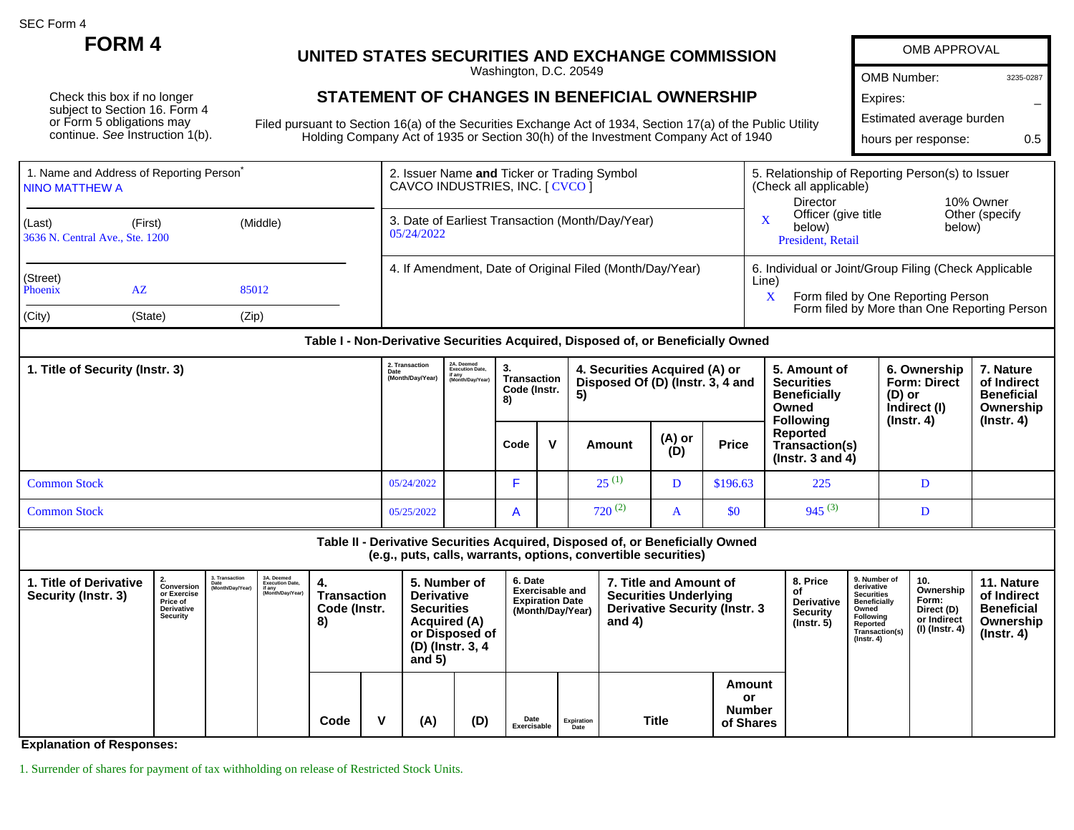SEC Form 4

Check this box if no longer subject to Section 16. Form 4 or Form 5 obligations may continue. See Instruction 1(b).

## **FORM 4 UNITED STATES SECURITIES AND EXCHANGE COMMISSION**

Washington, D.C. 20549

## **STATEMENT OF CHANGES IN BENEFICIAL OWNERSHIP**

Filed pursuant to Section 16(a) of the Securities Exchange Act of 1934, Section 17(a) of the Public Utility Holding Company Act of 1935 or Section 30(h) of the Investment Company Act of 1940

| OMB APPROVAL             |           |  |  |  |  |  |  |
|--------------------------|-----------|--|--|--|--|--|--|
| <b>OMB Number:</b>       | 3235-0287 |  |  |  |  |  |  |
| Expires:                 |           |  |  |  |  |  |  |
| Estimated average burden |           |  |  |  |  |  |  |
| hours per response:      | 05        |  |  |  |  |  |  |
|                          |           |  |  |  |  |  |  |

| 1. Name and Address of Reporting Person <sup>®</sup><br>I NINO MATTHEW A |         |          | 2. Issuer Name and Ticker or Trading Symbol<br>CAVCO INDUSTRIES, INC. [ CVCO ] | 5. Relationship of Reporting Person(s) to Issuer<br>(Check all applicable)                                                                                |  |  |  |
|--------------------------------------------------------------------------|---------|----------|--------------------------------------------------------------------------------|-----------------------------------------------------------------------------------------------------------------------------------------------------------|--|--|--|
| (Last)<br>3636 N. Central Ave., Ste. 1200                                | (First) | (Middle) | 3. Date of Earliest Transaction (Month/Day/Year)<br>05/24/2022                 | Director<br>10% Owner<br>Other (specify<br>Officer (give title<br>$\mathbf x$<br>below)<br>below)<br>President, Retail                                    |  |  |  |
| (Street)<br>Phoenix                                                      | AZ      | 85012    | 4. If Amendment, Date of Original Filed (Month/Day/Year)                       | 6. Individual or Joint/Group Filing (Check Applicable<br>Line)<br>Form filed by One Reporting Person<br>Form filed by More than One Reporting Person<br>X |  |  |  |
| (City)                                                                   | (State) | (Zip)    |                                                                                |                                                                                                                                                           |  |  |  |

## **Table I - Non-Derivative Securities Acquired, Disposed of, or Beneficially Owned**

| 1. Title of Security (Instr. 3) |            | 2A. Deemed<br>Execution Date.<br>if any<br>(Month/Day/Year)<br>(Month/Day/Year) | З.<br>Transaction<br>Code (Instr.<br>8) |              | 4. Securities Acquired (A) or<br>Disposed Of (D) (Instr. 3, 4 and<br>5) |               |              | 5. Amount of<br><b>Securities</b><br><b>Beneficially</b><br>Owned<br><b>Following</b> | 6. Ownership<br><b>Form: Direct</b><br>(D) or<br>Indirect (I) | 7. Nature<br>of Indirect<br><b>Beneficial</b><br>Ownership<br>(Instr. 4) |
|---------------------------------|------------|---------------------------------------------------------------------------------|-----------------------------------------|--------------|-------------------------------------------------------------------------|---------------|--------------|---------------------------------------------------------------------------------------|---------------------------------------------------------------|--------------------------------------------------------------------------|
|                                 |            |                                                                                 | Code                                    | $\mathbf{v}$ | Amount                                                                  | (A) or<br>(D) | <b>Price</b> | Reported<br>Transaction(s)<br>( $lnstr. 3$ and 4)                                     | $($ lnstr. 4 $)$                                              |                                                                          |
| <b>Common Stock</b>             | 05/24/2022 |                                                                                 |                                         |              | $25^{(1)}$                                                              | D             | \$196.63     | 225                                                                                   |                                                               |                                                                          |
| <b>Common Stock</b>             | 05/25/2022 |                                                                                 | A                                       |              | $720^{(2)}$                                                             | $\mathbf{a}$  | \$0          | $945^{(3)}$                                                                           | D                                                             |                                                                          |

**Table II - Derivative Securities Acquired, Disposed of, or Beneficially Owned (e.g., puts, calls, warrants, options, convertible securities) 1. Title of Derivative Security (Instr. 3) 2. Conversion or Exercise Price of Derivative Security 3. Transaction Date (Month/Day/Year) 3A. Deemed Execution Date, if any (Month/Day/Year) 4. Transaction Code (Instr. 8) 5. Number of Derivative Securities Acquired (A) or Disposed of (D) (Instr. 3, 4 and 5) 6. Date Exercisable and Expiration Date (Month/Day/Year) 7. Title and Amount of Securities Underlying Derivative Security (Instr. 3 and 4) 8. Price of Derivative Security (Instr. 5) 9. Number of derivative Securities Beneficially Owned Following Reported Transaction(s) (Instr. 4) 10. Ownership Form: Direct (D) or Indirect (I) (Instr. 4) 11. Nature of Indirect Beneficial Ownership (Instr. 4)**

**Exercisable**

**Expiration Date Title**

**Amount or Number of Shares**

**Code V (A) (D) Date**

**Explanation of Responses:**

1. Surrender of shares for payment of tax withholding on release of Restricted Stock Units.